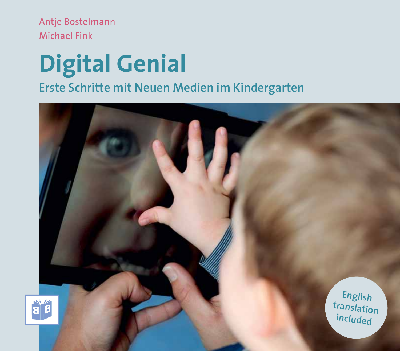Antje Bostelmann Michael Fink

# **Digital Genial Erste Schritte mit Neuen Medien im Kindergarten**

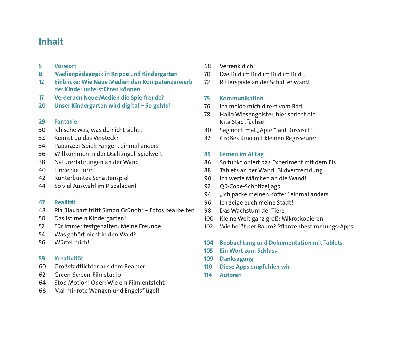#### **Inhalt**

- **5 Vorwort**
- **8 Medienpädagogik in Krippe und Kindergarten**
- 12 Einblicke: Wie Neue Medien den Kompetenzerwerb **der Kinder unterstützen können**
- **17 Verderben Neue Medien die Spielfreude?**
- **20 Unser Kindergarten wird digital So gehts!**
- **29 Fantasie**
- 30 Ich sehe was, was du nicht siehst
- 32 Kennst du das Versteck?
- 34 Paparazzi-Spiel: Fangen, einmal anders
- 36 Willkommen in der Dschungel-Spielwelt
- 38 Naturerfahrungen an der Wand
- 40 Finde die Form!
- 42 Kunterbuntes Schattenspiel
- 44 So viel Auswahl im Pizzaladen!
- **47 Realität**
- 48 Pia Blaubart trifft Simon Grünohr Fotos bearbeiten
- 50 Das ist mein Kindergarten!
- 52 Für immer festgehalten: Meine Freunde
- 54 Was gehört nicht in den Wald?
- 56 Würfel mich!
- **59 Kreativität**
- 60 Großstadtlichter aus dem Beamer
- 62 Green-Screen-Filmstudio
- 64 Stop Motion! Oder: Wie ein Film entsteht
- 66 Mal mir rote Wangen und Engelsflügel!
- 68 Verrenk dich!
- 70 Das Bild im Bild im Bild im Bild …
- 72 Ritterspiele an der Schattenwand

#### **75 Kommunikation**

- 76 Ich melde mich direkt vom Bad!
- 78 Hallo Wiesengeister, hier spricht die Kita Stadtfüchse!
- 80 Sag noch mal "Apfel" auf Russisch!
- 82 Großes Kino mit kleinen Regisseuren

#### **85 Lernen im Alltag**

- 86 So funktioniert das Experiment mit dem Eis!
- 88 Tablets an der Wand: Bildverfremdung
- 90 Ich werfe Märchen an die Wand!
- 92 QR-Code-Schnitzeljagd
- 94 "Ich packe meinen Koffer" einmal anders
- 96 Ich zeige euch meine Stadt!
- 98 Das Wachstum der Tiere
- 100 Kleine Welt ganz groß: Mikroskopieren
- 102 Wie heißt der Baum? Pflanzenbestimmungs-Apps
- **104 Beobachtung und Dokumentation mit Tablets**
- **105 Ein Wort zum Schluss**
- **109 Danksagung**
- **110 Diese Apps empfehlen wir**
- **114 Autoren**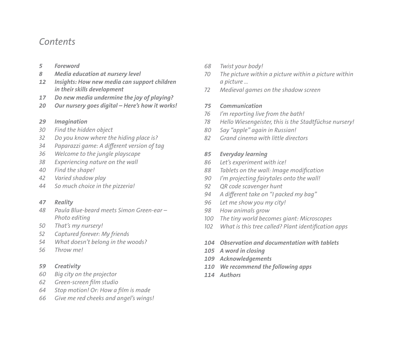#### *Contents*

- *5 Foreword*
- *8 Media education at nursery level*
- *12 Insights: How new media can support children in their skills development*
- *17 Do new media undermine the joy of playing?*
- *20 Our nursery goes digital Here's how it works!*
- *29 Imagination*
- *30 Find the hidden object*
- *32 Do you know where the hiding place is?*
- *34 Paparazzi game: A different version of tag*
- *36 Welcome to the jungle playscape*
- *38 Experiencing nature on the wall*
- *40 Find the shape!*
- *42 Varied shadow play*
- *44 So much choice in the pizzeria!*
- *47 Reality*
- *48 Paula Blue-beard meets Simon Green-ear Photo editing*
- *50 That's my nursery!*
- *52 Captured forever: My friends*
- *54 What doesn't belong in the woods?*
- *56 Throw me!*
- *59 Creativity*
- *60 Big city on the projector*
- *62 Green-screen film studio*
- *64 Stop motion! Or: How a film is made*
- *66 Give me red cheeks and angel's wings!*
- *68 Twist your body!*
- *70 The picture within a picture within a picture within a picture …*
- *72 Medieval games on the shadow screen*

#### *75 Communication*

- *76 I'm reporting live from the bath!*
- *78 Hello Wiesengeister, this is the Stadtfüchse nursery!*
- *80 Say "apple" again in Russian!*
- *82 Grand cinema with little directors*

#### *85 Everyday learning*

- *86 Let's experiment with ice!*
- *88 Tablets on the wall: Image modification*
- *90 I'm projecting fairytales onto the wall!*
- *92 QR code scavenger hunt*
- *94 A different take on "I packed my bag"*
- *96 Let me show you my city!*
- *98 How animals grow*
- *100 The tiny world becomes giant: Microscopes*
- *102 What is this tree called? Plant identification apps*
- *104 Observation and documentation with tablets*
- *105 A word in closing*
- *109 Acknowledgements*
- *110 We recommend the following apps*
- *114 Authors*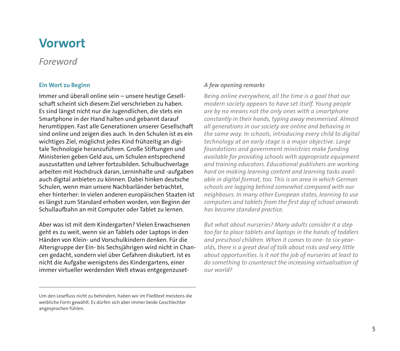## **Vorwort**

#### *Foreword*

#### **Ein Wort zu Beginn**

Immer und überall online sein – unsere heutige Gesellschaft scheint sich diesem Ziel verschrieben zu haben. Es sind längst nicht nur die Jugendlichen, die stets ein Smartphone in der Hand halten und gebannt darauf herumtippen. Fast alle Generationen unserer Gesellschaft sind online und zeigen dies auch. In den Schulen ist es ein wichtiges Ziel, möglichst jedes Kind frühzeitig an digitale Technologie heranzuführen. Große Stiftungen und Ministerien geben Geld aus, um Schulen entsprechend auszustatten und Lehrer fortzubilden. Schulbuchverlage arbeiten mit Hochdruck daran, Lerninhalte und -aufgaben auch digital anbieten zu können. Dabei hinken deutsche Schulen, wenn man unsere Nachbarländer betrachtet, eher hinterher: In vielen anderen europäischen Staaten ist es längst zum Standard erhoben worden, von Beginn der Schullaufbahn an mit Computer oder Tablet zu lernen.

Aber was ist mit dem Kindergarten? Vielen Erwachsenen geht es zu weit, wenn sie an Tablets oder Laptops in den Händen von Klein- und Vorschulkindern denken. Für die Altersgruppe der Ein- bis Sechsjährigen wird nicht in Chancen gedacht, sondern viel über Gefahren diskutiert. Ist es nicht die Aufgabe wenigstens des Kindergartens, einer immer virtueller werdenden Welt etwas entgegenzuset-

#### *A few opening remarks*

*Being online everywhere, all the time is a goal that our modern society appears to have set itself. Young people are by no means not the only ones with a smartphone constantly in their hands, typing away mesmerised. Almost all generations in our society are online and behaving in the same way. In schools, introducing every child to digital technology at an early stage is a major objective. Large foundations and government ministries make funding available for providing schools with appropriate equipment and training educators. Educational publishers are working hard on making learning content and learning tasks available in digital format, too. This is an area in which German schools are lagging behind somewhat compared with our neighbours. In many other European states, learning to use computers and tablets from the first day of school onwards has become standard practice.* 

*But what about nurseries? Many adults consider it a step too far to place tablets and laptops in the hands of toddlers and preschool children. When it comes to one- to six-yearolds, there is a great deal of talk about risks and very little about opportunities. Is it not the job of nurseries at least to do something to counteract the increasing virtualisation of our world?*

Um den Lesefluss nicht zu behindern, haben wir im Fließtext meistens die weibliche Form gewählt. Es dürfen sich aber immer beide Geschlechter angesprochen fühlen.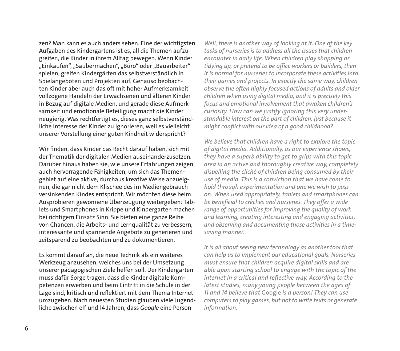zen? Man kann es auch anders sehen. Eine der wichtigsten Aufgaben des Kindergartens ist es, all die Themen aufzugreifen, die Kinder in ihrem Alltag bewegen. Wenn Kinder "Einkaufen", "Saubermachen", "Büro" oder "Bauarbeiter" spielen, greifen Kindergärten das selbstverständlich in Spielangeboten und Projekten auf. Genauso beobachten Kinder aber auch das oft mit hoher Aufmerksamkeit vollzogene Handeln der Erwachsenen und älteren Kinder in Bezug auf digitale Medien, und gerade diese Aufmerksamkeit und emotionale Beteiligung macht die Kinder neugierig. Was rechtfertigt es, dieses ganz selbstverständliche Interesse der Kinder zu ignorieren, weil es vielleicht unserer Vorstellung einer guten Kindheit widerspricht?

Wir finden, dass Kinder das Recht darauf haben, sich mit der Thematik der digitalen Medien auseinanderzusetzen. Darüber hinaus haben sie, wie unsere Erfahrungen zeigen, auch hervorragende Fähigkeiten, um sich das Themengebiet auf eine aktive, durchaus kreative Weise anzueignen, die gar nicht dem Klischee des im Mediengebrauch versinkenden Kindes entspricht. Wir möchten diese beim Ausprobieren gewonnene Überzeugung weitergeben: Tablets und Smartphones in Krippe und Kindergarten machen bei richtigem Einsatz Sinn. Sie bieten eine ganze Reihe von Chancen, die Arbeits- und Lernqualität zu verbessern, interessante und spannende Angebote zu generieren und zeitsparend zu beobachten und zu dokumentieren.

Es kommt darauf an, die neue Technik als ein weiteres Werkzeug anzusehen, welches uns bei der Umsetzung unserer pädagogischen Ziele helfen soll. Der Kindergarten muss dafür Sorge tragen, dass die Kinder digitale Kompetenzen erwerben und beim Eintritt in die Schule in der Lage sind, kritisch und reflektiert mit dem Thema Internet umzugehen. Nach neuesten Studien glauben viele Jugendliche zwischen elf und 14 Jahren, dass *Google* eine Person

*Well, there is another way of looking at it. One of the key tasks of nurseries is to address all the issues that children encounter in daily life. When children play shopping or tidying up, or pretend to be office workers or builders, then it is normal for nurseries to incorporate these activities into their games and projects. In exactly the same way, children observe the often highly focused actions of adults and older children when using digital media, and it is precisely this focus and emotional involvement that awaken children's curiosity. How can we justify ignoring this very understandable interest on the part of children, just because it might conflict with our idea of a good childhood?*

*We believe that children have a right to explore the topic of digital media. Additionally, as our experience shows, they have a superb ability to get to grips with this topic area in an active and thoroughly creative way, completely dispelling the cliché of children being consumed by their use of media. This is a conviction that we have come to hold through experimentation and one we wish to pass on: When used appropriately, tablets and smartphones can be beneficial to crèches and nurseries. They offer a wide range of opportunities for improving the quality of work and learning, creating interesting and engaging activities, and observing and documenting those activities in a timesaving manner.*

*It is all about seeing new technology as another tool that can help us to implement our educational goals. Nurseries must ensure that children acquire digital skills and are able upon starting school to engage with the topic of the internet in a critical and reflective way. According to the latest studies, many young people between the ages of 11 and 14 believe that* Google *is a person! They can use computers to play games, but not to write texts or generate information.*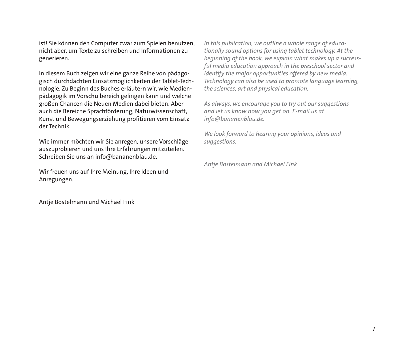ist! Sie können den Computer zwar zum Spielen benutzen, nicht aber, um Texte zu schreiben und Informationen zu generieren.

In diesem Buch zeigen wir eine ganze Reihe von pädagogisch durchdachten Einsatzmöglichkeiten der Tablet-Technologie. Zu Beginn des Buches erläutern wir, wie Medienpädagogik im Vorschulbereich gelingen kann und welche großen Chancen die Neuen Medien dabei bieten. Aber auch die Bereiche Sprachförderung, Naturwissenschaft, Kunst und Bewegungserziehung profitieren vom Einsatz der Technik.

Wie immer möchten wir Sie anregen, unsere Vorschläge auszuprobieren und uns Ihre Erfahrungen mitzuteilen. Schreiben Sie uns an info@bananenblau.de.

Wir freuen uns auf Ihre Meinung, Ihre Ideen und Anregungen.

Antje Bostelmann und Michael Fink

*In this publication, we outline a whole range of educationally sound options for using tablet technology. At the beginning of the book, we explain what makes up a successful media education approach in the preschool sector and identify the major opportunities offered by new media. Technology can also be used to promote language learning, the sciences, art and physical education.*

*As always, we encourage you to try out our suggestions and let us know how you get on. E-mail us at info@bananenblau.de.*

*We look forward to hearing your opinions, ideas and suggestions.*

*Antje Bostelmann and Michael Fink*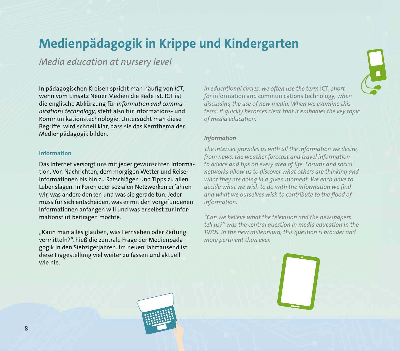## **Medienpädagogik in Krippe und Kindergarten**

*Media education at nursery level*

In pädagogischen Kreisen spricht man häufig von *ICT*, wenn vom Einsatz Neuer Medien die Rede ist. ICT ist die englische Abkürzung für *information and communications technology*, steht also für Informations- und Kommunikationstechnologie. Untersucht man diese Begriffe, wird schnell klar, dass sie das Kernthema der Medien pädagogik bilden.

#### **Information**

Das Internet versorgt uns mit jeder gewünschten Information. Von Nachrichten, dem morgigen Wetter und Reiseinformationen bis hin zu Ratschlägen und Tipps zu allen Lebenslagen. In Foren oder sozialen Netzwerken erfahren wir, was andere denken und was sie gerade tun. Jeder muss für sich entscheiden, was er mit den vorgefundenen Informationen anfangen will und was er selbst zur Informationsflut beitragen möchte.

"Kann man alles glauben, was Fernsehen oder Zeitung vermitteln?", hieß die zentrale Frage der Medienpädagogik in den Siebzigerjahren. Im neuen Jahrtausend ist diese Fragestellung viel weiter zu fassen und aktuell wie nie.

*In educational circles, we often use the term* ICT*, short for* information and communications technology*, when discussing the use of new media. When we examine this term, it quickly becomes clear that it embodies the key topic of media education.*

#### *Information*

*The internet provides us with all the information we desire, from news, the weather forecast and travel information to advice and tips on every area of life. Forums and social networks allow us to discover what others are thinking and what they are doing in a given moment. We each have to decide what we wish to do with the information we find and what we ourselves wish to contribute to the flood of information.*

*"Can we believe what the television and the newspapers tell us?" was the central question in media education in the 1970s. In the new millennium, this question is broader and more pertinent than ever.*

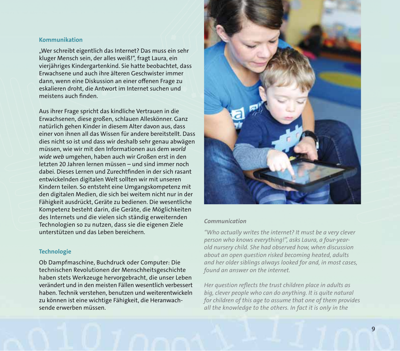#### **Kommunikation**

"Wer schreibt eigentlich das Internet? Das muss ein sehr kluger Mensch sein, der alles weiß!", fragt Laura, ein vierjähriges Kindergartenkind. Sie hatte beobachtet, dass Erwachsene und auch ihre älteren Geschwister immer dann, wenn eine Diskussion an einer offenen Frage zu eskalieren droht, die Antwort im Internet suchen und meistens auch finden.

Aus ihrer Frage spricht das kindliche Vertrauen in die Erwachsenen, diese großen, schlauen Alleskönner. Ganz natürlich gehen Kinder in diesem Alter davon aus, dass einer von ihnen all das Wissen für andere bereitstellt. Dass dies nicht so ist und dass wir deshalb sehr genau abwägen müssen, wie wir mit den Informationen aus dem *world wide web* umgehen, haben auch wir Großen erst in den letzten 20 Jahren lernen müssen – und sind immer noch dabei. Dieses Lernen und Zurechtfinden in der sich rasant entwickelnden digitalen Welt sollten wir mit unseren Kindern teilen. So entsteht eine Umgangskompetenz mit den digitalen Medien, die sich bei weitem nicht nur in der Fähigkeit ausdrückt, Geräte zu bedienen. Die wesentliche Kompetenz besteht darin, die Geräte, die Möglichkeiten des Internets und die vielen sich ständig erweiternden Technologien so zu nutzen, dass sie die eigenen Ziele unterstützen und das Leben bereichern.

#### **Technologie**

Ob Dampfmaschine, Buchdruck oder Computer: Die technischen Revolutionen der Menschheitsgeschichte haben stets Werkzeuge hervorgebracht, die unser Leben verändert und in den meisten Fällen wesentlich verbessert haben. Technik verstehen, benutzen und weiterentwickeln zu können ist eine wichtige Fähigkeit, die Heranwachsende erwerben müssen.



#### *Communication*

*"Who actually writes the internet? It must be a very clever person who knows everything!", asks Laura, a four-yearold nursery child. She had observed how, when discussion about an open question risked becoming heated, adults and her older siblings always looked for and, in most cases, found an answer on the internet.*

*Her question reflects the trust children place in adults as big, clever people who can do anything. It is quite natural for children of this age to assume that one of them provides all the knowledge to the others. In fact it is only in the*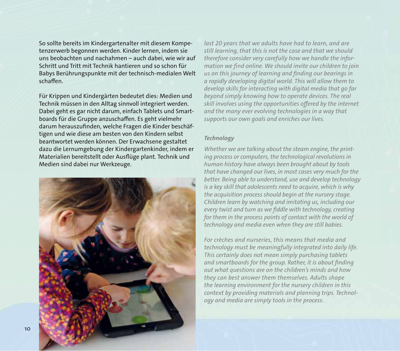So sollte bereits im Kindergartenalter mit diesem Kompetenzerwerb begonnen werden. Kinder lernen, indem sie uns beobachten und nachahmen – auch dabei, wie wir auf Schritt und Tritt mit Technik hantieren und so schon für Babys Berührungspunkte mit der technisch-medialen Welt schaffen.

Für Krippen und Kindergärten bedeutet dies: Medien und Technik müssen in den Alltag sinnvoll integriert werden. Dabei geht es gar nicht darum, einfach Tablets und Smartboards für die Gruppe anzuschaffen. Es geht vielmehr darum herauszufinden, welche Fragen die Kinder beschäftigen und wie diese am besten von den Kindern selbst beantwortet werden können. Der Erwachsene gestaltet dazu die Lernumgebung der Kindergartenkinder, indem er Materialien bereitstellt oder Ausflüge plant. Technik und Medien sind dabei nur Werkzeuge.



*last 20 years that we adults have had to learn, and are still learning, that this is not the case and that we should therefore consider very carefully how we handle the information we find online. We should invite our children to join us on this journey of learning and finding our bearings in a rapidly developing digital world. This will allow them to develop skills for interacting with digital media that go far beyond simply knowing how to operate devices. The real skill involves using the opportunities offered by the internet and the many ever evolving technologies in a way that supports our own goals and enriches our lives.* 

#### *Technology*

*Whether we are talking about the steam engine, the printing process or computers, the technological revolutions in human history have always been brought about by tools that have changed our lives, in most cases very much for the better. Being able to understand, use and develop technology is a key skill that adolescents need to acquire, which is why the acquisition process should begin at the nursery stage. Children learn by watching and imitating us, including our every twist and turn as we fiddle with technology, creating for them in the process points of contact with the world of technology and media even when they are still babies.*

*For crèches and nurseries, this means that media and technology must be meaningfully integrated into daily life. This certainly does not mean simply purchasing tablets and smartboards for the group. Rather, it is about finding out what questions are on the children's minds and how they can best answer them themselves. Adults shape the learning environment for the nursery children in this context by providing materials and planning trips. Technology and media are simply tools in the process.*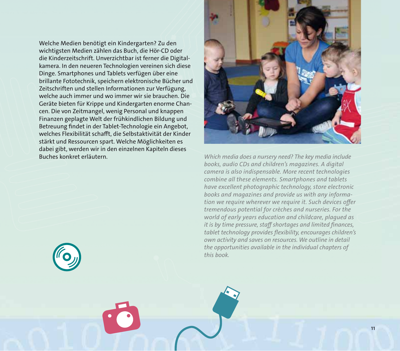Welche Medien benötigt ein Kindergarten? Zu den wichtigsten Medien zählen das Buch, die Hör-CD oder die Kinderzeitschrift. Unverzichtbar ist ferner die Digitalkamera. In den neueren Technologien vereinen sich diese Dinge. Smartphones und Tablets verfügen über eine brillante Fototechnik, speichern elektronische Bücher und Zeitschriften und stellen Informationen zur Verfügung, welche auch immer und wo immer wir sie brauchen. Die Geräte bieten für Krippe und Kindergarten enorme Chancen. Die von Zeitmangel, wenig Personal und knappen Finanzen geplagte Welt der frühkindlichen Bildung und Betreuung findet in der Tablet-Technologie ein Angebot, welches Flexibilität schafft, die Selbstaktivität der Kinder stärkt und Ressourcen spart. Welche Möglichkeiten es dabei gibt, werden wir in den einzelnen Kapiteln dieses Buches konkret erläutern. *Which media does a nursery need? The key media include* 



*books, audio CDs and children's magazines. A digital camera is also indispensable. More recent technologies combine all these elements. Smartphones and tablets have excellent photographic technology, store electronic books and magazines and provide us with any information we require wherever we require it. Such devices offer tremendous potential for crèches and nurseries. For the world of early years education and childcare, plagued as it is by time pressure, staff shortages and limited finances, tablet technology provides flexibility, encourages children's own acti vity and saves on resources. We outline in detail the opportunities available in the individual chapters of this book.*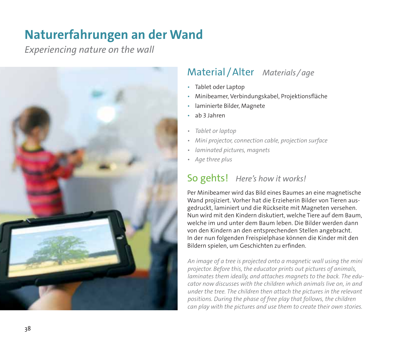## **Naturerfahrungen an der Wand**

*Experiencing nature on the wall*



## Material / Alter *Materials / age*

- Tablet oder Laptop
- Minibeamer, Verbindungskabel, Projektionsfläche
- laminierte Bilder, Magnete
- ab 3 Jahren
- *Tablet or laptop*
- *Mini projector, connection cable, projection surface*
- *laminated pictures, magnets*
- *Age three plus*

## So gehts! *Here's how it works!*

Per Minibeamer wird das Bild eines Baumes an eine magnetische Wand projiziert. Vorher hat die Erzieherin Bilder von Tieren ausgedruckt, laminiert und die Rückseite mit Magneten versehen. Nun wird mit den Kindern diskutiert, welche Tiere auf dem Baum, welche im und unter dem Baum leben. Die Bilder werden dann von den Kindern an den entsprechenden Stellen angebracht. In der nun folgenden Freispielphase können die Kinder mit den Bildern spielen, um Geschichten zu erfinden.

*An image of a tree is projected onto a magnetic wall using the mini projector. Before this, the educator prints out pictures of animals, laminates them ideally, and attaches magnets to the back. The educator now discusses with the children which animals live on, in and under the tree. The children then attach the pictures in the relevant positions. During the phase of free play that follows, the children can play with the pictures and use them to create their own stories.*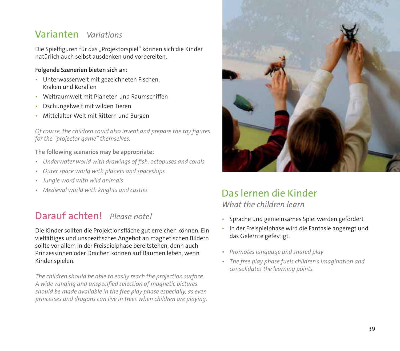## Varianten  *Variations*

Die Spielfiguren für das "Projektorspiel" können sich die Kinder natürlich auch selbst ausdenken und vorbereiten.

#### **Folgende Szenerien bieten sich an:**

- Unterwasserwelt mit gezeichneten Fischen, Kraken und Korallen
- Weltraumwelt mit Planeten und Raumschiffen
- Dschungelwelt mit wilden Tieren
- Mittelalter-Welt mit Rittern und Burgen

*Of course, the children could also invent and prepare the toy figures*  for the "*projector game*" themselves.

#### **The following scenarios may be appropriate:**

- *Underwater world with drawings of fish, octopuses and corals*
- *Outer space world with planets and spaceships*
- *Jungle word with wild animals*
- *Medieval world with knights and castles*

## Darauf achten! *Please note!*

Die Kinder sollten die Projektionsfläche gut erreichen können. Ein vielfältiges und unspezifisches Angebot an magnetischen Bildern sollte vor allem in der Freispielphase bereitstehen, denn auch Prinzessinnen oder Drachen können auf Bäumen leben, wenn Kinder spielen.

*The children should be able to easily reach the projection surface. A wide-ranging and unspecified selection of magnetic pictures should be made available in the free play phase especially, as even princesses and dragons can live in trees when children are playing.* 



#### Das lernen die Kinder *What the children learn*

- Sprache und gemeinsames Spiel werden gefördert
- In der Freispielphase wird die Fantasie angeregt und das Gelernte gefestigt.
- *Promotes language and shared play*
- *The free play phase fuels children's imagination and consolidates the learning points.*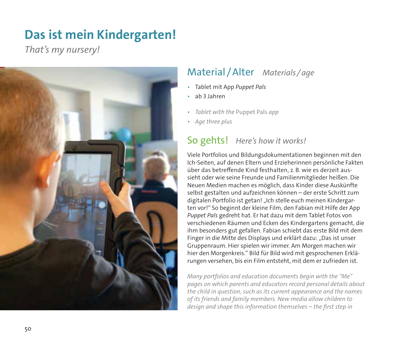## **Das ist mein Kindergarten!**

*That's my nursery!* 



## Material / Alter *Materials / age*

- Tablet mit App *Puppet Pals*
- ab 3 Jahren
- *Tablet with the* Puppet Pals *app*
- *Age three plus*

#### So gehts! *Here's how it works!*

Viele Portfolios und Bildungsdokumentationen beginnen mit den Ich-Seiten, auf denen Eltern und Erzieherinnen persönliche Fakten über das betreffende Kind festhalten, z. B. wie es derzeit aussieht oder wie seine Freunde und Familienmitglieder heißen. Die Neuen Medien machen es möglich, dass Kinder diese Auskünfte selbst gestalten und aufzeichnen können – der erste Schritt zum digitalen Portfolio ist getan! "Ich stelle euch meinen Kindergarten vor!" So beginnt der kleine Film, den Fabian mit Hilfe der App *Puppet Pals* gedreht hat. Er hat dazu mit dem Tablet Fotos von verschiedenen Räumen und Ecken des Kindergartens gemacht, die ihm besonders gut gefallen. Fabian schiebt das erste Bild mit dem Finger in die Mitte des Displays und erklärt dazu: "Das ist unser Gruppenraum. Hier spielen wir immer. Am Morgen machen wir hier den Morgenkreis." Bild für Bild wird mit gesprochenen Erklärungen versehen, bis ein Film entsteht, mit dem er zufrieden ist.

*Many portfolios and education documents begin with the "Me" pages on which parents and educators record personal details about the child in question, such as its current appearance and the names of its friends and family members. New media allow children to design and shape this information themselves – the first step in*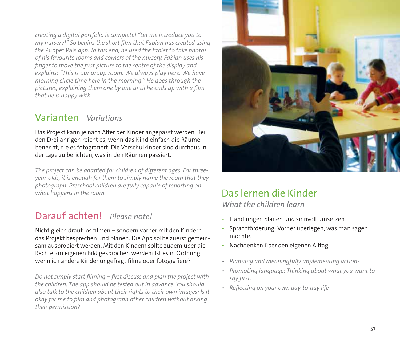*creating a digital portfolio is complete! "Let me introduce you to my nursery!" So begins the short film that Fabian has created using the* Puppet Pals *app. To this end, he used the tablet to take photos of his favourite rooms and corners of the nursery. Fabian uses his finger to move the first picture to the centre of the display and explains: "This is our group room. We always play here. We have morning circle time here in the morning." He goes through the pictures, explaining them one by one until he ends up with a film that he is happy with.* 

## Varianten  *Variations*

Das Projekt kann je nach Alter der Kinder angepasst werden. Bei den Dreijährigen reicht es, wenn das Kind einfach die Räume benennt, die es fotografiert. Die Vorschulkinder sind durchaus in der Lage zu berichten, was in den Räumen passiert.

*The project can be adapted for children of different ages. For threeyear-olds, it is enough for them to simply name the room that they photograph. Preschool children are fully capable of reporting on what happens in the room.*

## Darauf achten! *Please note!*

Nicht gleich drauf los filmen – sondern vorher mit den Kindern das Projekt besprechen und planen. Die App sollte zuerst gemeinsam ausprobiert werden. Mit den Kindern sollte zudem über die Rechte am eigenen Bild gesprochen werden: Ist es in Ordnung, wenn ich andere Kinder ungefragt filme oder fotografiere?

*Do not simply start filming – first discuss and plan the project with the children. The app should be tested out in advance. You should also talk to the children about their rights to their own images: Is it okay for me to film and photograph other children without asking their permission?* 



#### Das lernen die Kinder *What the children learn*

- Handlungen planen und sinnvoll umsetzen
- Sprachförderung: Vorher überlegen, was man sagen möchte.
- Nachdenken über den eigenen Alltag
- *Planning and meaningfully implementing actions*
- *Promoting language: Thinking about what you want to say first.*
- *Reflecting on your own day-to-day life*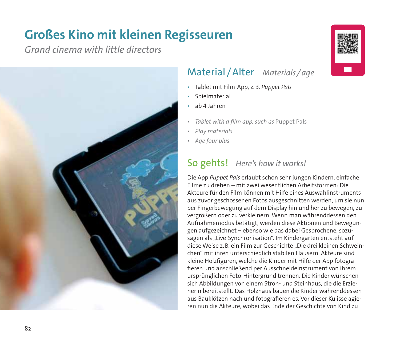## **Großes Kino mit kleinen Regisseuren**

*Grand cinema with little directors*



#### Material / Alter *Materials / age*

- Tablet mit Film-App, z. B. *Puppet Pals*
- **Spielmaterial**
- ab 4 Jahren
- *Tablet with a film app, such as* Puppet Pals
- *Play materials*
- *Age four plus*

## So gehts! *Here's how it works!*

Die App *Puppet Pals* erlaubt schon sehr jungen Kindern, einfache Filme zu drehen – mit zwei wesentlichen Arbeitsformen: Die Akteure für den Film können mit Hilfe eines Auswahlinstruments aus zuvor geschossenen Fotos ausgeschnitten werden, um sie nun per Fingerbewegung auf dem Display hin und her zu bewegen, zu vergrößern oder zu verkleinern. Wenn man währenddessen den Aufnahmemodus betätigt, werden diese Aktionen und Bewegungen aufgezeichnet – ebenso wie das dabei Gesprochene, sozusagen als "Live-Synchronisation". Im Kindergarten entsteht auf diese Weise z. B. ein Film zur Geschichte "Die drei kleinen Schweinchen" mit ihren unterschiedlich stabilen Häusern. Akteure sind kleine Holzfiguren, welche die Kinder mit Hilfe der App fotografieren und anschließend per Ausschneideinstrument von ihrem ursprüng lichen Foto-Hintergrund trennen. Die Kinder wünschen sich Abbildungen von einem Stroh- und Steinhaus, die die Erzieherin bereitstellt. Das Holzhaus bauen die Kinder währenddessen aus Bauklötzen nach und fotografieren es. Vor dieser Kulisse agieren nun die Akteure, wobei das Ende der Geschichte von Kind zu

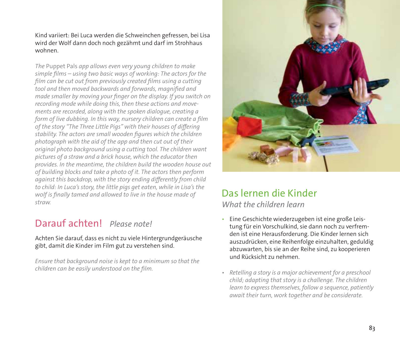Kind variiert: Bei Luca werden die Schweinchen gefressen, bei Lisa wird der Wolf dann doch noch gezähmt und darf im Strohhaus wohnen.

*The* Puppet Pals *app allows even very young children to make simple films – using two basic ways of working: The actors for the film can be cut out from previously created films using a cutting tool and then moved backwards and forwards, magnified and made smaller by moving your finger on the display. If you switch on recording mode while doing this, then these actions and movements are recorded, along with the spoken dialogue, creating a form of live dubbing. In this way, nursery children can create a film of the story "The Three Little Pigs" with their houses of differing stability. The actors are small wooden figures which the children photograph with the aid of the app and then cut out of their original photo background using a cutting tool. The children want pictures of a straw and a brick house, which the educator then provides. In the meantime, the children build the wooden house out of building blocks and take a photo of it. The actors then perform against this backdrop, with the story ending differently from child to child: In Luca's story, the little pigs get eaten, while in Lisa's the wolf is finally tamed and allowed to live in the house made of straw. What the children learn*

## Darauf achten! *Please note!*

#### Achten Sie darauf, dass es nicht zu viele Hintergrundgeräusche gibt, damit die Kinder im Film gut zu verstehen sind.

*Ensure that background noise is kept to a minimum so that the children can be easily understood on the film.*



## Das lernen die Kinder

- Eine Geschichte wiederzugeben ist eine große Leistung für ein Vorschulkind, sie dann noch zu verfremden ist eine Herausforderung. Die Kinder lernen sich auszudrücken, eine Reihenfolge einzuhalten, geduldig abzuwarten, bis sie an der Reihe sind, zu kooperieren und Rücksicht zu nehmen.
- *Retelling a story is a major achievement for a preschool child; adapting that story is a challenge. The children learn to express themselves, follow a sequence, patiently await their turn, work together and be considerate.*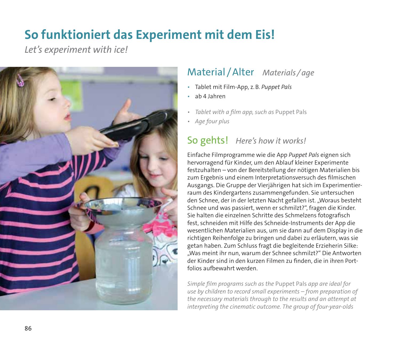## **So funktioniert das Experiment mit dem Eis!**

*Let's experiment with ice!* 



## Material / Alter *Materials / age*

- Tablet mit Film-App, z. B. *Puppet Pals*
- ab 4 Jahren
- *Tablet with a film app, such as* Puppet Pals
- *Age four plus*

## So gehts! *Here's how it works!*

Einfache Filmprogramme wie die App *Puppet Pals* eignen sich hervorragend für Kinder, um den Ablauf kleiner Experimente festzuhalten – von der Bereitstellung der nötigen Materialien bis zum Ergebnis und einem Interpretationsversuch des filmischen Ausgangs. Die Gruppe der Vierjährigen hat sich im Experimentierraum des Kindergartens zusammengefunden. Sie untersuchen den Schnee, der in der letzten Nacht gefallen ist. "Woraus besteht Schnee und was passiert, wenn er schmilzt?", fragen die Kinder. Sie halten die einzelnen Schritte des Schmelzens fotografisch fest, schneiden mit Hilfe des Schneide-Instruments der App die wesentlichen Materialien aus, um sie dann auf dem Display in die richtigen Reihenfolge zu bringen und dabei zu erläutern, was sie getan haben. Zum Schluss fragt die begleitende Erzieherin Silke: "Was meint ihr nun, warum der Schnee schmilzt?" Die Antworten der Kinder sind in den kurzen Filmen zu finden, die in ihren Portfolios aufbewahrt werden.

*Simple film programs such as the* Puppet Pals *app are ideal for use by children to record small experiments – from preparation of the necessary materials through to the results and an attempt at interpreting the cinematic outcome. The group of four-year-olds*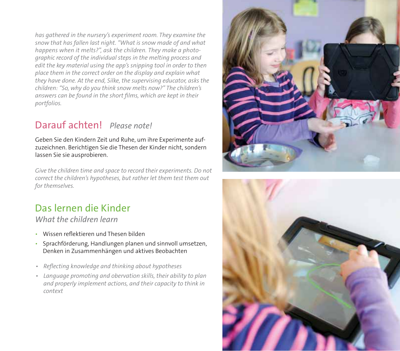*has gathered in the nursery's experiment room. They examine the snow that has fallen last night. "What is snow made of and what happens when it melts?", ask the children. They make a photographic record of the individual steps in the melting process and edit the key material using the app's snipping tool in order to then place them in the correct order on the display and explain what they have done. At the end, Silke, the supervising educator, asks the children: "So, why do you think snow melts now?" The children's answers can be found in the short films, which are kept in their portfolios.* 

## Darauf achten! *Please note!*

Geben Sie den Kindern Zeit und Ruhe, um ihre Experimente aufzuzeichnen. Berichtigen Sie die Thesen der Kinder nicht, sondern lassen Sie sie ausprobieren.

*Give the children time and space to record their experiments. Do not correct the children's hypotheses, but rather let them test them out for themselves.*

## Das lernen die Kinder

*What the children learn*

- Wissen reflektieren und Thesen bilden
- Sprachförderung, Handlungen planen und sinnvoll umsetzen, Denken in Zusammenhängen und aktives Beobachten
- *Reflecting knowledge and thinking about hypotheses*
- *Language promoting and obervation skills, their ability to plan and properly implement actions, and their capacity to think in context*